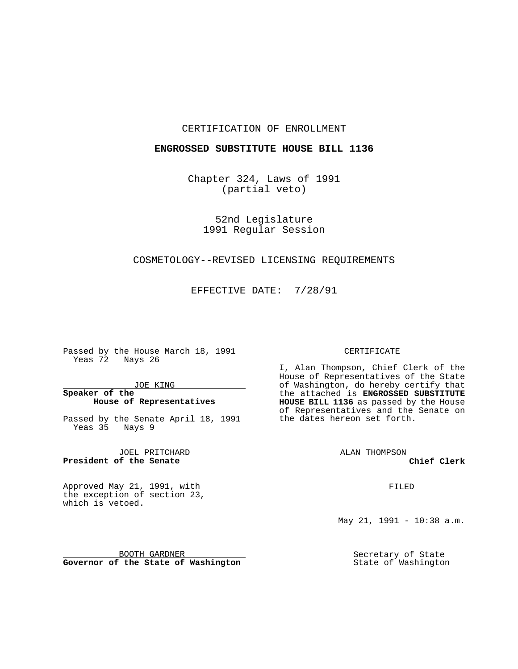#### CERTIFICATION OF ENROLLMENT

#### **ENGROSSED SUBSTITUTE HOUSE BILL 1136**

Chapter 324, Laws of 1991 (partial veto)

> 52nd Legislature 1991 Regular Session

### COSMETOLOGY--REVISED LICENSING REQUIREMENTS

EFFECTIVE DATE: 7/28/91

Passed by the House March 18, 1991 Yeas 72 Nays 26

JOE KING

## **Speaker of the House of Representatives**

Passed by the Senate April 18, 1991 Yeas 35 Nays 9

JOEL PRITCHARD **President of the Senate**

Approved May 21, 1991, with the exception of section 23, which is vetoed.

BOOTH GARDNER **Governor of the State of Washington**

#### CERTIFICATE

I, Alan Thompson, Chief Clerk of the House of Representatives of the State of Washington, do hereby certify that the attached is **ENGROSSED SUBSTITUTE HOUSE BILL 1136** as passed by the House of Representatives and the Senate on the dates hereon set forth.

ALAN THOMPSON

**Chief Clerk**

FILED

May 21, 1991 - 10:38 a.m.

Secretary of State State of Washington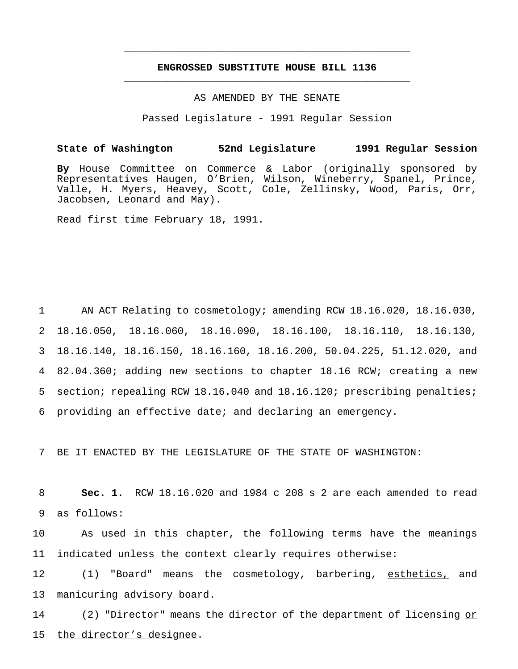## **ENGROSSED SUBSTITUTE HOUSE BILL 1136** \_\_\_\_\_\_\_\_\_\_\_\_\_\_\_\_\_\_\_\_\_\_\_\_\_\_\_\_\_\_\_\_\_\_\_\_\_\_\_\_\_\_\_\_\_\_\_

\_\_\_\_\_\_\_\_\_\_\_\_\_\_\_\_\_\_\_\_\_\_\_\_\_\_\_\_\_\_\_\_\_\_\_\_\_\_\_\_\_\_\_\_\_\_\_

#### AS AMENDED BY THE SENATE

Passed Legislature - 1991 Regular Session

### **State of Washington 52nd Legislature 1991 Regular Session**

**By** House Committee on Commerce & Labor (originally sponsored by Representatives Haugen, O'Brien, Wilson, Wineberry, Spanel, Prince, Valle, H. Myers, Heavey, Scott, Cole, Zellinsky, Wood, Paris, Orr, Jacobsen, Leonard and May).

Read first time February 18, 1991.

 AN ACT Relating to cosmetology; amending RCW 18.16.020, 18.16.030, 18.16.050, 18.16.060, 18.16.090, 18.16.100, 18.16.110, 18.16.130, 18.16.140, 18.16.150, 18.16.160, 18.16.200, 50.04.225, 51.12.020, and 82.04.360; adding new sections to chapter 18.16 RCW; creating a new section; repealing RCW 18.16.040 and 18.16.120; prescribing penalties; providing an effective date; and declaring an emergency.

7 BE IT ENACTED BY THE LEGISLATURE OF THE STATE OF WASHINGTON:

8 **Sec. 1.** RCW 18.16.020 and 1984 c 208 s 2 are each amended to read 9 as follows:

10 As used in this chapter, the following terms have the meanings 11 indicated unless the context clearly requires otherwise:

12 (1) "Board" means the cosmetology, barbering, esthetics, and 13 manicuring advisory board.

14 (2) "Director" means the director of the department of licensing or 15 the director's designee.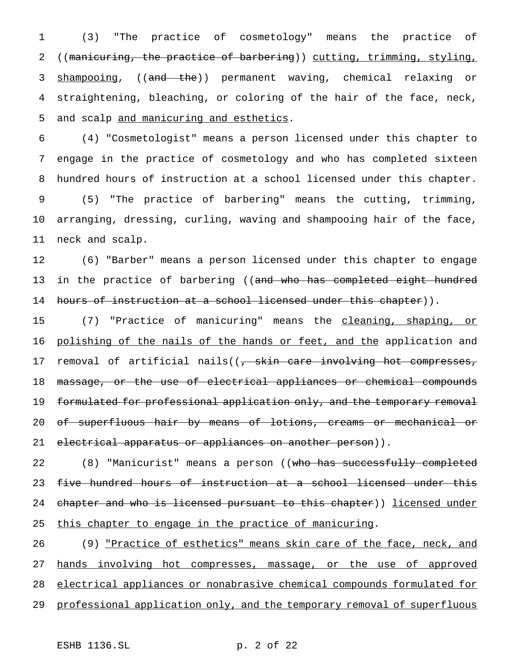1 (3) "The practice of cosmetology" means the practice of 2 ((manicuring, the practice of barbering)) cutting, trimming, styling, 3 shampooing, ((and the)) permanent waving, chemical relaxing or 4 straightening, bleaching, or coloring of the hair of the face, neck, 5 and scalp and manicuring and esthetics.

 (4) "Cosmetologist" means a person licensed under this chapter to engage in the practice of cosmetology and who has completed sixteen hundred hours of instruction at a school licensed under this chapter. (5) "The practice of barbering" means the cutting, trimming, arranging, dressing, curling, waving and shampooing hair of the face, neck and scalp.

12 (6) "Barber" means a person licensed under this chapter to engage 13 in the practice of barbering ((and who has completed eight hundred 14 hours of instruction at a school licensed under this chapter)).

15 (7) "Practice of manicuring" means the cleaning, shaping, or 16 polishing of the nails of the hands or feet, and the application and 17 removal of artificial nails((<del>, skin care involving hot compresses,</del> 18 massage, or the use of electrical appliances or chemical compounds 19 formulated for professional application only, and the temporary removal 20 of superfluous hair by means of lotions, creams or mechanical or 21 electrical apparatus or appliances on another person)).

22 (8) "Manicurist" means a person ((who has successfully completed 23 five hundred hours of instruction at a school licensed under this 24 chapter and who is licensed pursuant to this chapter)) licensed under 25 this chapter to engage in the practice of manicuring.

26 (9) <u>"Practice of esthetics" means skin care of the face, neck, and</u> 27 hands involving hot compresses, massage, or the use of approved 28 electrical appliances or nonabrasive chemical compounds formulated for 29 professional application only, and the temporary removal of superfluous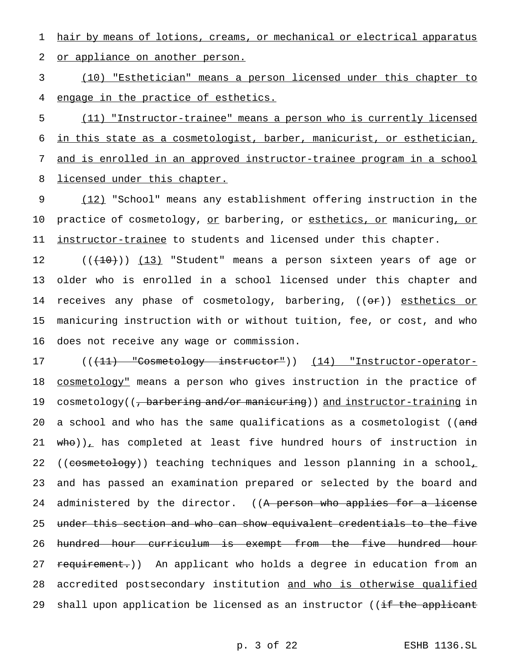1 hair by means of lotions, creams, or mechanical or electrical apparatus

2 or appliance on another person.

3 (10) "Esthetician" means a person licensed under this chapter to 4 engage in the practice of esthetics.

 (11) "Instructor-trainee" means a person who is currently licensed in this state as a cosmetologist, barber, manicurist, or esthetician, and is enrolled in an approved instructor-trainee program in a school 8 licensed under this chapter.

9 (12) "School" means any establishment offering instruction in the 10 practice of cosmetology, or barbering, or esthetics, or manicuring, or 11 <u>instructor-trainee</u> to students and licensed under this chapter.

12 ((<del>(10)</del>)) (13) "Student" means a person sixteen years of age or 13 older who is enrolled in a school licensed under this chapter and 14 receives any phase of cosmetology, barbering, ((or)) esthetics or 15 manicuring instruction with or without tuition, fee, or cost, and who 16 does not receive any wage or commission.

17 (((11) "Cosmetology instructor")) (14) "Instructor-operator-18 cosmetology" means a person who gives instruction in the practice of 19 cosmetology((<del>, barbering and/or manicuring</del>)) and instructor-training in 20 a school and who has the same qualifications as a cosmetologist ((and 21  $who)$ , has completed at least five hundred hours of instruction in 22 ((cosmetology)) teaching techniques and lesson planning in a school, 23 and has passed an examination prepared or selected by the board and 24 administered by the director. ((A person who applies for a license 25 under this section and who can show equivalent credentials to the five 26 hundred hour curriculum is exempt from the five hundred hour 27 requirement.)) An applicant who holds a degree in education from an 28 accredited postsecondary institution and who is otherwise qualified 29 shall upon application be licensed as an instructor ((if the applicant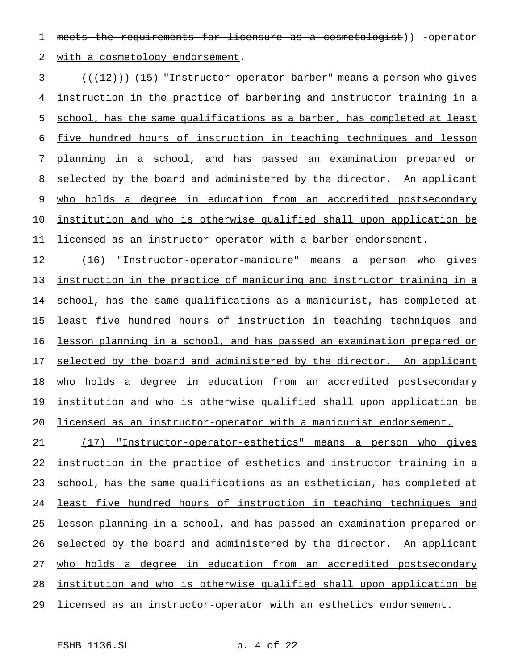1 meets the requirements for licensure as a cosmetologist)) -operator 2 with a cosmetology endorsement.

3 (( $(12)$ )) (15) "Instructor-operator-barber" means a person who gives instruction in the practice of barbering and instructor training in a school, has the same qualifications as a barber, has completed at least five hundred hours of instruction in teaching techniques and lesson planning in a school, and has passed an examination prepared or selected by the board and administered by the director. An applicant who holds a degree in education from an accredited postsecondary institution and who is otherwise qualified shall upon application be licensed as an instructor-operator with a barber endorsement.

 (16) "Instructor-operator-manicure" means a person who gives instruction in the practice of manicuring and instructor training in a school, has the same qualifications as a manicurist, has completed at least five hundred hours of instruction in teaching techniques and lesson planning in a school, and has passed an examination prepared or 17 selected by the board and administered by the director. An applicant who holds a degree in education from an accredited postsecondary institution and who is otherwise qualified shall upon application be licensed as an instructor-operator with a manicurist endorsement.

 (17) "Instructor-operator-esthetics" means a person who gives instruction in the practice of esthetics and instructor training in a 23 school, has the same qualifications as an esthetician, has completed at least five hundred hours of instruction in teaching techniques and lesson planning in a school, and has passed an examination prepared or 26 selected by the board and administered by the director. An applicant who holds a degree in education from an accredited postsecondary institution and who is otherwise qualified shall upon application be

licensed as an instructor-operator with an esthetics endorsement.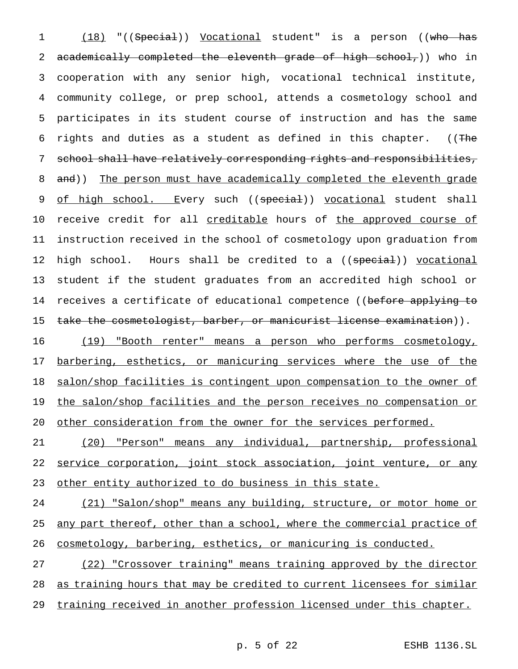1 (18) "((Special)) Vocational student" is a person ((who has 2 academically completed the eleventh grade of high school,)) who in 3 cooperation with any senior high, vocational technical institute, 4 community college, or prep school, attends a cosmetology school and 5 participates in its student course of instruction and has the same 6 rights and duties as a student as defined in this chapter. ((The 7 school shall have relatively corresponding rights and responsibilities, 8 and)) The person must have academically completed the eleventh grade 9 of high school. Every such ((special)) vocational student shall 10 receive credit for all creditable hours of the approved course of 11 instruction received in the school of cosmetology upon graduation from 12 high school. Hours shall be credited to a ((special)) vocational 13 student if the student graduates from an accredited high school or 14 receives a certificate of educational competence ((before applying to 15 take the cosmetologist, barber, or manicurist license examination)).

16 (19) "Booth renter" means a person who performs cosmetology, 17 barbering, esthetics, or manicuring services where the use of the 18 salon/shop facilities is contingent upon compensation to the owner of 19 the salon/shop facilities and the person receives no compensation or 20 other consideration from the owner for the services performed.

21 (20) "Person" means any individual, partnership, professional 22 service corporation, joint stock association, joint venture, or any 23 other entity authorized to do business in this state.

24 (21) "Salon/shop" means any building, structure, or motor home or 25 any part thereof, other than a school, where the commercial practice of 26 cosmetology, barbering, esthetics, or manicuring is conducted.

27 (22) "Crossover training" means training approved by the director 28 as training hours that may be credited to current licensees for similar 29 training received in another profession licensed under this chapter.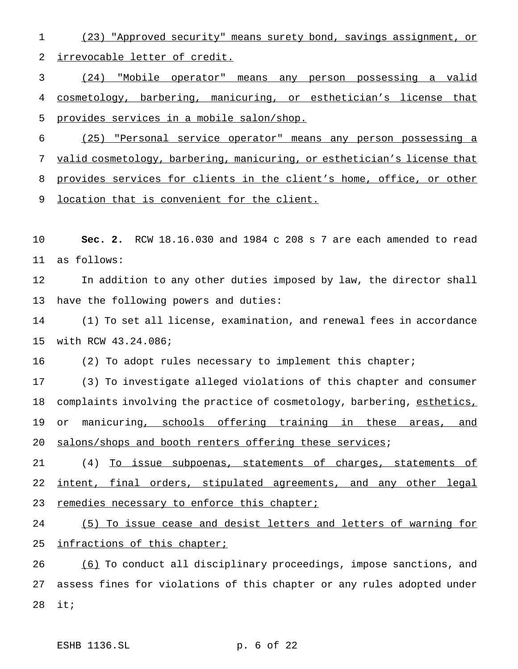(23) "Approved security" means surety bond, savings assignment, or irrevocable letter of credit.

 (24) "Mobile operator" means any person possessing a valid cosmetology, barbering, manicuring, or esthetician's license that provides services in a mobile salon/shop.

 (25) "Personal service operator" means any person possessing a valid cosmetology, barbering, manicuring, or esthetician's license that provides services for clients in the client's home, office, or other 9 location that is convenient for the client.

 **Sec. 2.** RCW 18.16.030 and 1984 c 208 s 7 are each amended to read as follows:

 In addition to any other duties imposed by law, the director shall have the following powers and duties:

 (1) To set all license, examination, and renewal fees in accordance with RCW 43.24.086;

(2) To adopt rules necessary to implement this chapter;

 (3) To investigate alleged violations of this chapter and consumer 18 complaints involving the practice of cosmetology, barbering, esthetics, 19 or manicuring, schools offering training in these areas, and salons/shops and booth renters offering these services;

 (4) To issue subpoenas, statements of charges, statements of 22 intent, final orders, stipulated agreements, and any other legal 23 remedies necessary to enforce this chapter;

 (5) To issue cease and desist letters and letters of warning for 25 infractions of this chapter;

26 (6) To conduct all disciplinary proceedings, impose sanctions, and assess fines for violations of this chapter or any rules adopted under it;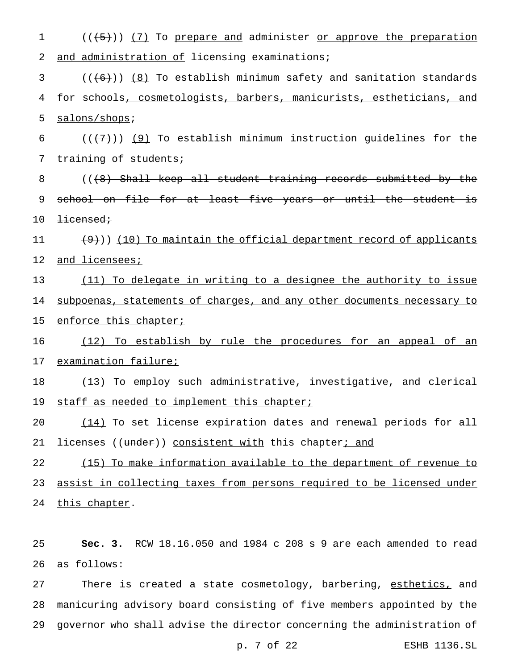1 (( $(5)$ )) (7) To prepare and administer or approve the preparation 2 and administration of licensing examinations;  $3$  ( $(\overline{6})$ ) (8) To establish minimum safety and sanitation standards 4 for schools, cosmetologists, barbers, manicurists, estheticians, and 5 salons/shops; 6  $((+7))$  (9) To establish minimum instruction guidelines for the 7 training of students; 8 (( $\left(48\right)$  Shall keep all student training records submitted by the 9 school on file for at least five years or until the student is 10 <del>licensed;</del> 11  $(9)$ )) (10) To maintain the official department record of applicants 12 and licensees; 13 (11) To delegate in writing to a designee the authority to issue 14 subpoenas, statements of charges, and any other documents necessary to 15 enforce this chapter; 16 (12) To establish by rule the procedures for an appeal of an 17 examination failure; 18 (13) To employ such administrative, investigative, and clerical 19 staff as needed to implement this chapter; 20 (14) To set license expiration dates and renewal periods for all 21 licenses ((under)) consistent with this chapter; and 22 (15) To make information available to the department of revenue to 23 assist in collecting taxes from persons required to be licensed under 24 this chapter. 25 **Sec. 3.** RCW 18.16.050 and 1984 c 208 s 9 are each amended to read

26 as follows:

27 There is created a state cosmetology, barbering, esthetics, and 28 manicuring advisory board consisting of five members appointed by the 29 governor who shall advise the director concerning the administration of

p. 7 of 22 ESHB 1136.SL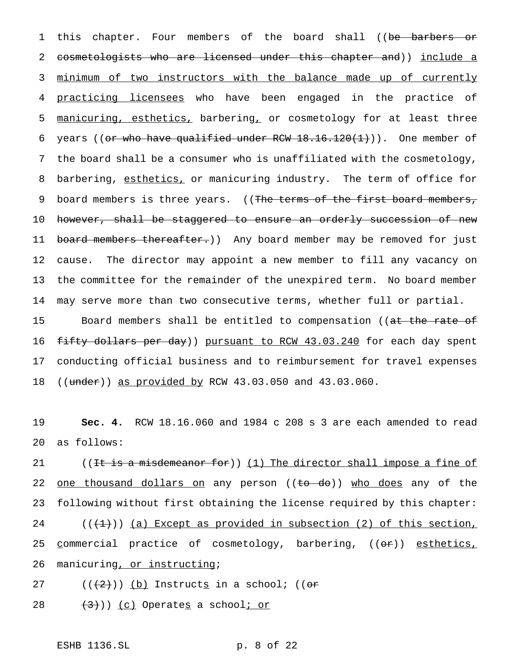1 this chapter. Four members of the board shall ((be barbers or 2 cosmetologists who are licensed under this chapter and)) include a 3 minimum of two instructors with the balance made up of currently 4 practicing licensees who have been engaged in the practice of 5 manicuring, esthetics, barbering, or cosmetology for at least three 6 years ((or who have qualified under RCW  $18.16.120(1)$ )). One member of 7 the board shall be a consumer who is unaffiliated with the cosmetology, 8 barbering, esthetics, or manicuring industry. The term of office for 9 board members is three years. ((The terms of the first board members, 10 however, shall be staggered to ensure an orderly succession of new 11 board members thereafter.)) Any board member may be removed for just 12 cause. The director may appoint a new member to fill any vacancy on 13 the committee for the remainder of the unexpired term. No board member 14 may serve more than two consecutive terms, whether full or partial. 15 Board members shall be entitled to compensation ((at the rate of

16 f<del>ifty dollars per day</del>)) <u>pursuant to RCW 43.03.240</u> for each day spent 17 conducting official business and to reimbursement for travel expenses 18 ((under)) as provided by RCW 43.03.050 and 43.03.060.

19 **Sec. 4.** RCW 18.16.060 and 1984 c 208 s 3 are each amended to read 20 as follows:

21 ((It is a misdemeanor for)) (1) The director shall impose a fine of 22 <u>one thousand dollars on</u> any person ((to do)) who does any of the 23 following without first obtaining the license required by this chapter: 24  $((+1))$  (a) Except as provided in subsection (2) of this section, 25 commercial practice of cosmetology, barbering, ((or)) esthetics, 26 manicuring, or instructing;

27  $((+2+))$  (b) Instructs in a school; ((or

 $(3)$ )) (c) Operates a school; or

ESHB 1136.SL p. 8 of 22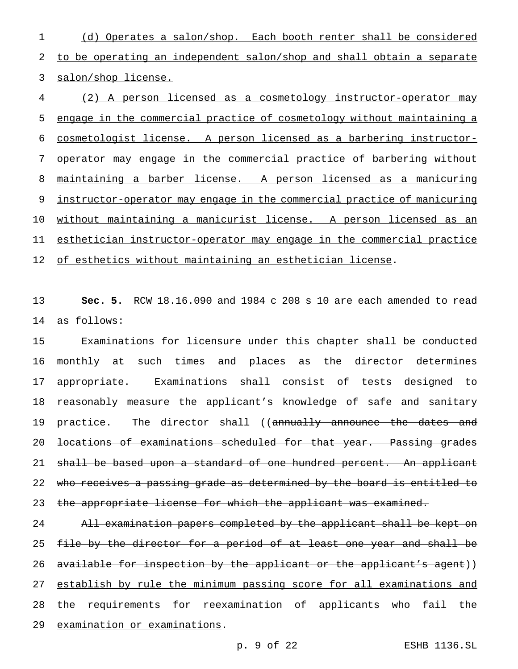(d) Operates a salon/shop. Each booth renter shall be considered to be operating an independent salon/shop and shall obtain a separate salon/shop license.

 (2) A person licensed as a cosmetology instructor-operator may engage in the commercial practice of cosmetology without maintaining a cosmetologist license. A person licensed as a barbering instructor- operator may engage in the commercial practice of barbering without maintaining a barber license. A person licensed as a manicuring 9 instructor-operator may engage in the commercial practice of manicuring without maintaining a manicurist license. A person licensed as an esthetician instructor-operator may engage in the commercial practice 12 of esthetics without maintaining an esthetician license.

 **Sec. 5.** RCW 18.16.090 and 1984 c 208 s 10 are each amended to read as follows:

 Examinations for licensure under this chapter shall be conducted monthly at such times and places as the director determines appropriate. Examinations shall consist of tests designed to reasonably measure the applicant's knowledge of safe and sanitary 19 practice. The director shall ((annually announce the dates and locations of examinations scheduled for that year. Passing grades 21 shall be based upon a standard of one hundred percent. An applicant 22 who receives a passing grade as determined by the board is entitled to 23 the appropriate license for which the applicant was examined.

 All examination papers completed by the applicant shall be kept on 25 file by the director for a period of at least one year and shall be 26 available for inspection by the applicant or the applicant's agent)) 27 establish by rule the minimum passing score for all examinations and the requirements for reexamination of applicants who fail the examination or examinations.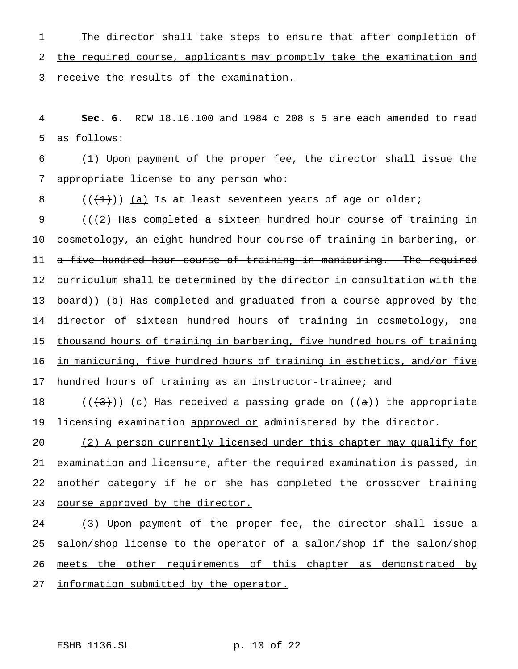1 The director shall take steps to ensure that after completion of 2 the required course, applicants may promptly take the examination and 3 receive the results of the examination.

4 **Sec. 6.** RCW 18.16.100 and 1984 c 208 s 5 are each amended to read 5 as follows:

6 (1) Upon payment of the proper fee, the director shall issue the 7 appropriate license to any person who:

 $8$   $((+1))$   $(a)$  Is at least seventeen years of age or older;

9 (( $(2)$  Has completed a sixteen hundred hour course of training in 10 cosmetology, an eight hundred hour course of training in barbering, or 11 a five hundred hour course of training in manicuring. The required 12 curriculum shall be determined by the director in consultation with the 13 board)) (b) Has completed and graduated from a course approved by the 14 director of sixteen hundred hours of training in cosmetology, one 15 thousand hours of training in barbering, five hundred hours of training 16 in manicuring, five hundred hours of training in esthetics, and/or five

17 hundred hours of training as an instructor-trainee; and

18 ( $(\langle 43 \rangle)$ ) (c) Has received a passing grade on ((a)) the appropriate 19 licensing examination approved or administered by the director.

20 (2) A person currently licensed under this chapter may qualify for 21 examination and licensure, after the required examination is passed, in 22 another category if he or she has completed the crossover training 23 course approved by the director.

24 (3) Upon payment of the proper fee, the director shall issue a 25 salon/shop license to the operator of a salon/shop if the salon/shop 26 meets the other requirements of this chapter as demonstrated by 27 information submitted by the operator.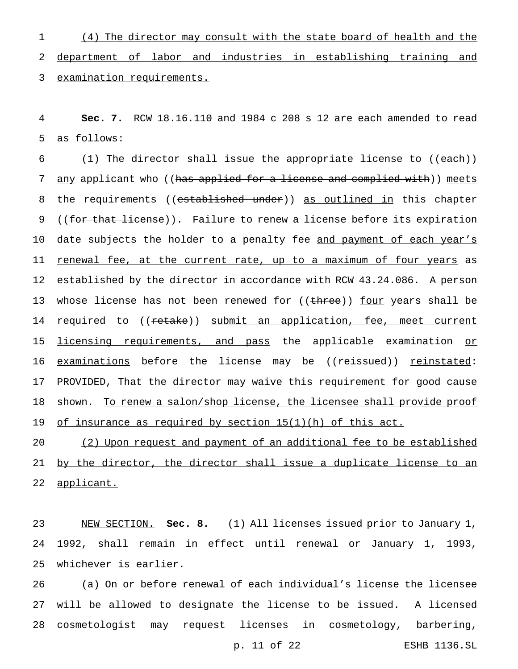1 (4) The director may consult with the state board of health and the 2 department of labor and industries in establishing training and 3 examination requirements.

4 **Sec. 7.** RCW 18.16.110 and 1984 c 208 s 12 are each amended to read 5 as follows:

6  $(1)$  The director shall issue the appropriate license to ((each)) 7 any applicant who ((has applied for a license and complied with)) meets 8 the requirements ((established under)) as outlined in this chapter 9 ((for that license)). Failure to renew a license before its expiration 10 date subjects the holder to a penalty fee and payment of each year's 11 renewal fee, at the current rate, up to a maximum of four years as 12 established by the director in accordance with RCW 43.24.086. A person 13 whose license has not been renewed for ((three)) four years shall be 14 required to ((retake)) submit an application, fee, meet current 15 <u>licensing requirements, and pass</u> the applicable examination <u>or</u> 16 examinations before the license may be ((reissued)) reinstated: 17 PROVIDED, That the director may waive this requirement for good cause 18 shown. To renew a salon/shop license, the licensee shall provide proof 19 of insurance as required by section 15(1)(h) of this act.

20 (2) Upon request and payment of an additional fee to be established 21 by the director, the director shall issue a duplicate license to an 22 applicant.

23 NEW SECTION. **Sec. 8.** (1) All licenses issued prior to January 1, 24 1992, shall remain in effect until renewal or January 1, 1993, 25 whichever is earlier.

26 (a) On or before renewal of each individual's license the licensee 27 will be allowed to designate the license to be issued. A licensed 28 cosmetologist may request licenses in cosmetology, barbering,

p. 11 of 22 ESHB 1136.SL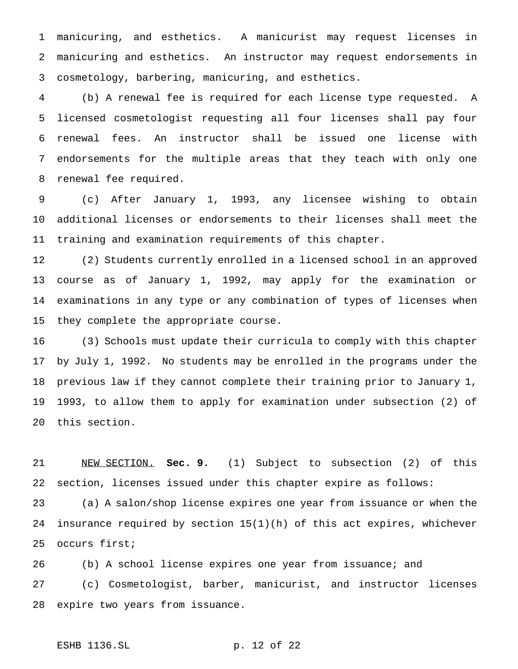manicuring, and esthetics. A manicurist may request licenses in manicuring and esthetics. An instructor may request endorsements in cosmetology, barbering, manicuring, and esthetics.

 (b) A renewal fee is required for each license type requested. A licensed cosmetologist requesting all four licenses shall pay four renewal fees. An instructor shall be issued one license with endorsements for the multiple areas that they teach with only one renewal fee required.

 (c) After January 1, 1993, any licensee wishing to obtain additional licenses or endorsements to their licenses shall meet the training and examination requirements of this chapter.

 (2) Students currently enrolled in a licensed school in an approved course as of January 1, 1992, may apply for the examination or examinations in any type or any combination of types of licenses when they complete the appropriate course.

 (3) Schools must update their curricula to comply with this chapter by July 1, 1992. No students may be enrolled in the programs under the previous law if they cannot complete their training prior to January 1, 1993, to allow them to apply for examination under subsection (2) of this section.

 NEW SECTION. **Sec. 9.** (1) Subject to subsection (2) of this section, licenses issued under this chapter expire as follows:

 (a) A salon/shop license expires one year from issuance or when the insurance required by section 15(1)(h) of this act expires, whichever occurs first;

 (b) A school license expires one year from issuance; and (c) Cosmetologist, barber, manicurist, and instructor licenses expire two years from issuance.

# ESHB 1136.SL p. 12 of 22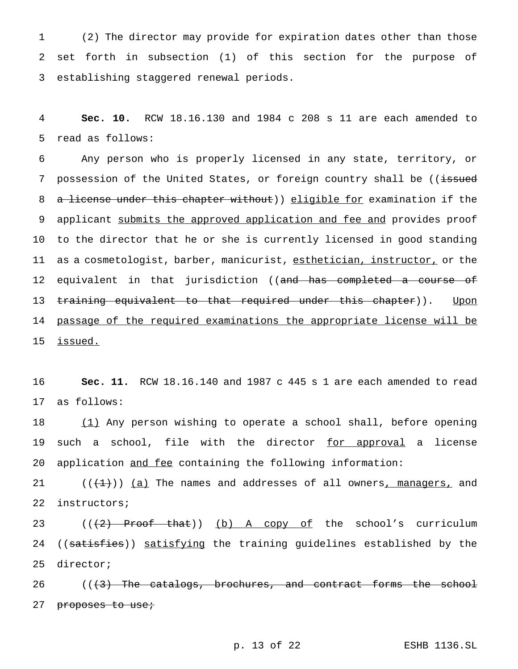1 (2) The director may provide for expiration dates other than those 2 set forth in subsection (1) of this section for the purpose of 3 establishing staggered renewal periods.

4 **Sec. 10.** RCW 18.16.130 and 1984 c 208 s 11 are each amended to 5 read as follows:

6 Any person who is properly licensed in any state, territory, or 7 possession of the United States, or foreign country shall be ((issued 8 a license under this chapter without)) eligible for examination if the 9 applicant submits the approved application and fee and provides proof 10 to the director that he or she is currently licensed in good standing 11 as a cosmetologist, barber, manicurist, esthetician, instructor, or the 12 equivalent in that jurisdiction ((<del>and has completed a course of</del> 13 training equivalent to that required under this chapter)). Upon 14 passage of the required examinations the appropriate license will be 15 issued.

16 **Sec. 11.** RCW 18.16.140 and 1987 c 445 s 1 are each amended to read 17 as follows:

18 (1) Any person wishing to operate a school shall, before opening 19 such a school, file with the director for approval a license 20 application and fee containing the following information:

21  $((+1))$   $(a)$  The names and addresses of all owners, managers, and 22 instructors;

23  $((+2)$  Proof that)) (b) A copy of the school's curriculum 24 ((satisfies)) satisfying the training guidelines established by the 25 director;

26  $((+3)$  The catalogs, brochures, and contract forms the school 27 proposes to use;

p. 13 of 22 ESHB 1136.SL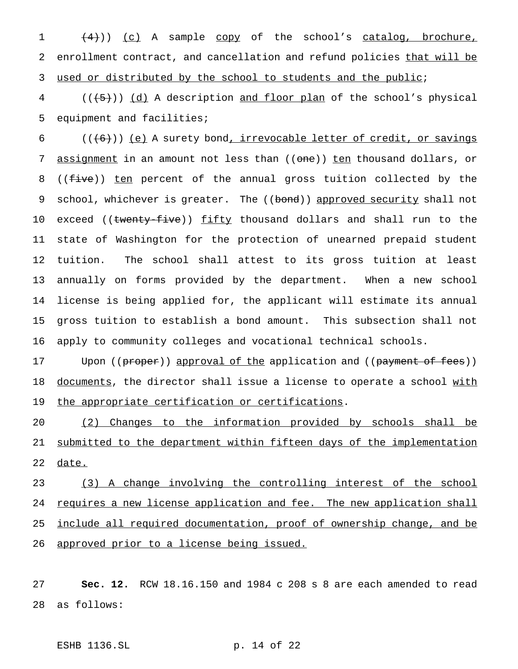$(4)$ )) (c) A sample copy of the school's catalog, brochure, 2 enrollment contract, and cancellation and refund policies that will be 3 used or distributed by the school to students and the public;

 $4$  ( $(\overline{\smash{(+5)}})$   $\underline{\smash{(\text{d})}}$  A description and floor plan of the school's physical 5 equipment and facilities;

 (( $(6)$ )) (e) A surety bond, irrevocable letter of credit, or savings 7 assignment in an amount not less than ((one)) ten thousand dollars, or 8 ((<del>five</del>)) ten percent of the annual gross tuition collected by the 9 school, whichever is greater. The ((bond)) approved security shall not 10 exceed ((twenty-five)) fifty thousand dollars and shall run to the state of Washington for the protection of unearned prepaid student tuition. The school shall attest to its gross tuition at least annually on forms provided by the department. When a new school license is being applied for, the applicant will estimate its annual gross tuition to establish a bond amount. This subsection shall not apply to community colleges and vocational technical schools.

17 Upon ((proper)) approval of the application and ((payment of fees)) 18 documents, the director shall issue a license to operate a school with 19 the appropriate certification or certifications.

20 (2) Changes to the information provided by schools shall be 21 submitted to the department within fifteen days of the implementation 22 date.

23 (3) A change involving the controlling interest of the school 24 requires a new license application and fee. The new application shall 25 include all required documentation, proof of ownership change, and be 26 approved prior to a license being issued.

27 **Sec. 12.** RCW 18.16.150 and 1984 c 208 s 8 are each amended to read 28 as follows:

ESHB 1136.SL p. 14 of 22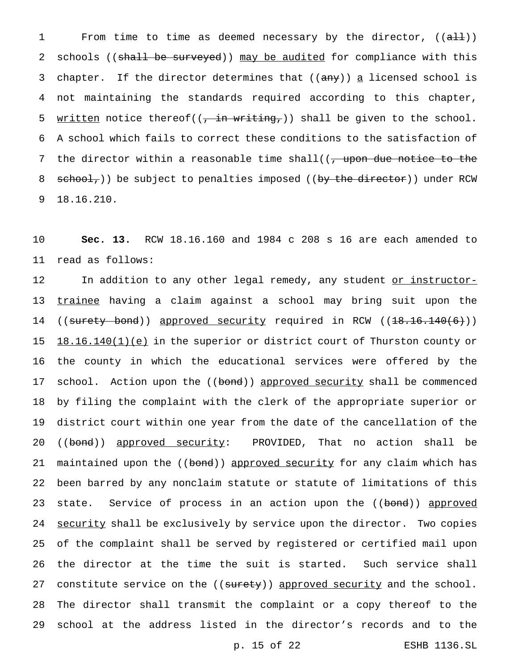1 From time to time as deemed necessary by the director, ((all)) 2 schools ((shall be surveyed)) may be audited for compliance with this 3 chapter. If the director determines that ((any)) a licensed school is 4 not maintaining the standards required according to this chapter, 5 written notice thereof( $(\frac{1}{1} + \frac{1}{10})$ ) shall be given to the school. 6 A school which fails to correct these conditions to the satisfaction of 7 the director within a reasonable time shall( $\sqrt{ }$  upon due notice to the 8 school,)) be subject to penalties imposed ((by the director)) under RCW 9 18.16.210.

10 **Sec. 13.** RCW 18.16.160 and 1984 c 208 s 16 are each amended to 11 read as follows:

12 In addition to any other legal remedy, any student or instructor-13 trainee having a claim against a school may bring suit upon the 14 ((surety bond)) approved security required in RCW ((18.16.140(6))) 15 18.16.140(1)(e) in the superior or district court of Thurston county or 16 the county in which the educational services were offered by the 17 school. Action upon the ((bond)) approved security shall be commenced 18 by filing the complaint with the clerk of the appropriate superior or 19 district court within one year from the date of the cancellation of the 20 ((bond)) approved security: PROVIDED, That no action shall be 21 maintained upon the ((bond)) approved security for any claim which has 22 been barred by any nonclaim statute or statute of limitations of this 23 state. Service of process in an action upon the ((bond)) approved 24 security shall be exclusively by service upon the director. Two copies 25 of the complaint shall be served by registered or certified mail upon 26 the director at the time the suit is started. Such service shall 27 constitute service on the ((surety)) approved security and the school. 28 The director shall transmit the complaint or a copy thereof to the 29 school at the address listed in the director's records and to the

p. 15 of 22 ESHB 1136.SL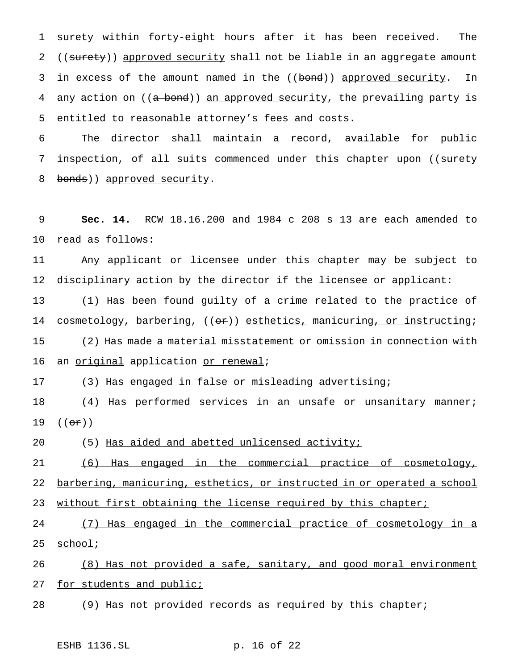1 surety within forty-eight hours after it has been received. The 2 ((surety)) approved security shall not be liable in an aggregate amount 3 in excess of the amount named in the ((bond)) approved security. In 4 any action on ((a bond)) an approved security, the prevailing party is 5 entitled to reasonable attorney's fees and costs.

6 The director shall maintain a record, available for public 7 inspection, of all suits commenced under this chapter upon ((surety 8 bonds)) approved security.

9 **Sec. 14.** RCW 18.16.200 and 1984 c 208 s 13 are each amended to 10 read as follows:

11 Any applicant or licensee under this chapter may be subject to 12 disciplinary action by the director if the licensee or applicant:

13 (1) Has been found guilty of a crime related to the practice of 14 cosmetology, barbering, ((or)) esthetics, manicuring, or instructing; 15 (2) Has made a material misstatement or omission in connection with 16 an original application or renewal;

17 (3) Has engaged in false or misleading advertising;

18 (4) Has performed services in an unsafe or unsanitary manner; 19  $((\theta \hat{r}))$ 

20 (5) Has aided and abetted unlicensed activity;

21 (6) Has engaged in the commercial practice of cosmetology, 22 <u>barbering, manicuring, esthetics, or instructed in or operated a school</u> 23 without first obtaining the license required by this chapter;

24 (7) Has engaged in the commercial practice of cosmetology in a 25 school;

26 (8) Has not provided a safe, sanitary, and good moral environment 27 for students and public;

28 (9) Has not provided records as required by this chapter;

ESHB 1136.SL p. 16 of 22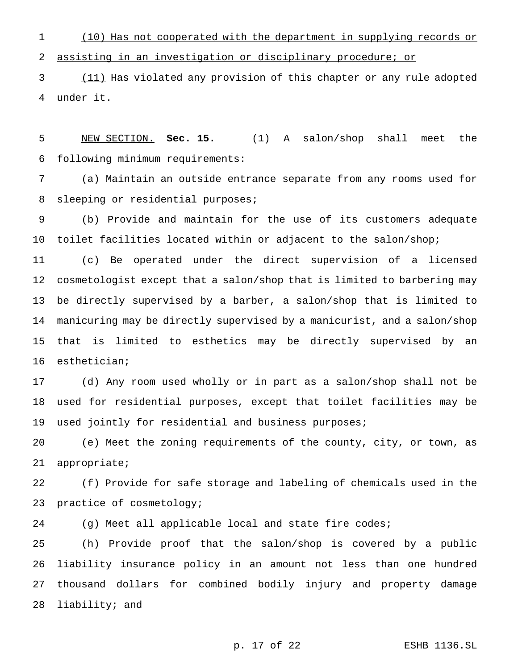(10) Has not cooperated with the department in supplying records or assisting in an investigation or disciplinary procedure; or

 (11) Has violated any provision of this chapter or any rule adopted under it.

 NEW SECTION. **Sec. 15.** (1) A salon/shop shall meet the following minimum requirements:

 (a) Maintain an outside entrance separate from any rooms used for sleeping or residential purposes;

 (b) Provide and maintain for the use of its customers adequate toilet facilities located within or adjacent to the salon/shop;

 (c) Be operated under the direct supervision of a licensed cosmetologist except that a salon/shop that is limited to barbering may be directly supervised by a barber, a salon/shop that is limited to manicuring may be directly supervised by a manicurist, and a salon/shop that is limited to esthetics may be directly supervised by an esthetician;

 (d) Any room used wholly or in part as a salon/shop shall not be used for residential purposes, except that toilet facilities may be 19 used jointly for residential and business purposes;

 (e) Meet the zoning requirements of the county, city, or town, as appropriate;

 (f) Provide for safe storage and labeling of chemicals used in the practice of cosmetology;

(g) Meet all applicable local and state fire codes;

 (h) Provide proof that the salon/shop is covered by a public liability insurance policy in an amount not less than one hundred thousand dollars for combined bodily injury and property damage liability; and

p. 17 of 22 ESHB 1136.SL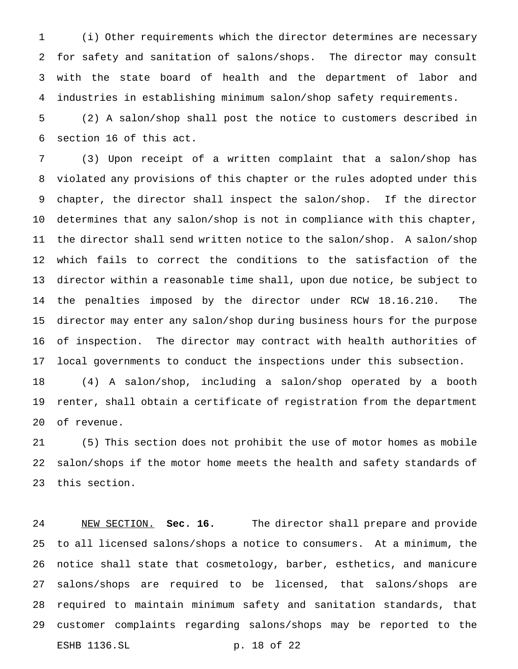(i) Other requirements which the director determines are necessary for safety and sanitation of salons/shops. The director may consult with the state board of health and the department of labor and industries in establishing minimum salon/shop safety requirements.

 (2) A salon/shop shall post the notice to customers described in section 16 of this act.

 (3) Upon receipt of a written complaint that a salon/shop has violated any provisions of this chapter or the rules adopted under this chapter, the director shall inspect the salon/shop. If the director determines that any salon/shop is not in compliance with this chapter, the director shall send written notice to the salon/shop. A salon/shop which fails to correct the conditions to the satisfaction of the director within a reasonable time shall, upon due notice, be subject to the penalties imposed by the director under RCW 18.16.210. The director may enter any salon/shop during business hours for the purpose of inspection. The director may contract with health authorities of local governments to conduct the inspections under this subsection.

 (4) A salon/shop, including a salon/shop operated by a booth renter, shall obtain a certificate of registration from the department of revenue.

 (5) This section does not prohibit the use of motor homes as mobile salon/shops if the motor home meets the health and safety standards of this section.

 NEW SECTION. **Sec. 16.** The director shall prepare and provide to all licensed salons/shops a notice to consumers. At a minimum, the notice shall state that cosmetology, barber, esthetics, and manicure salons/shops are required to be licensed, that salons/shops are required to maintain minimum safety and sanitation standards, that customer complaints regarding salons/shops may be reported to the ESHB 1136.SL p. 18 of 22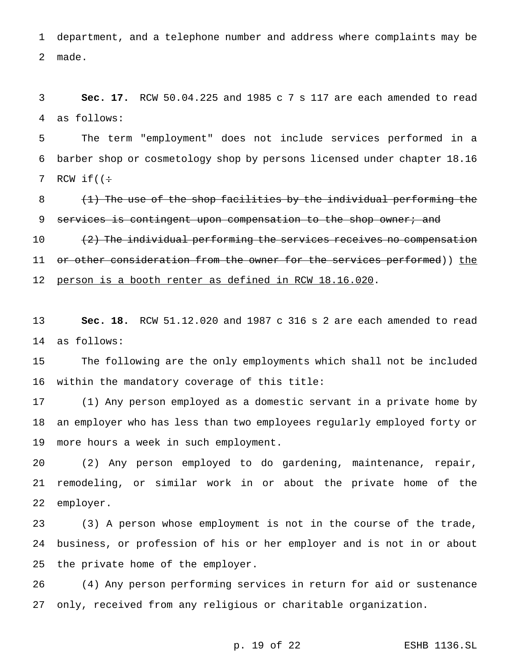department, and a telephone number and address where complaints may be made.

 **Sec. 17.** RCW 50.04.225 and 1985 c 7 s 117 are each amended to read as follows:

 The term "employment" does not include services performed in a barber shop or cosmetology shop by persons licensed under chapter 18.16 7 RCW if( $(\div$ 

8 (1) The use of the shop facilities by the individual performing the 9 services is contingent upon compensation to the shop owner; and

10 (2) The individual performing the services receives no compensation 11 or other consideration from the owner for the services performed)) the person is a booth renter as defined in RCW 18.16.020.

 **Sec. 18.** RCW 51.12.020 and 1987 c 316 s 2 are each amended to read as follows:

 The following are the only employments which shall not be included within the mandatory coverage of this title:

 (1) Any person employed as a domestic servant in a private home by an employer who has less than two employees regularly employed forty or more hours a week in such employment.

 (2) Any person employed to do gardening, maintenance, repair, remodeling, or similar work in or about the private home of the employer.

 (3) A person whose employment is not in the course of the trade, business, or profession of his or her employer and is not in or about the private home of the employer.

 (4) Any person performing services in return for aid or sustenance only, received from any religious or charitable organization.

p. 19 of 22 ESHB 1136.SL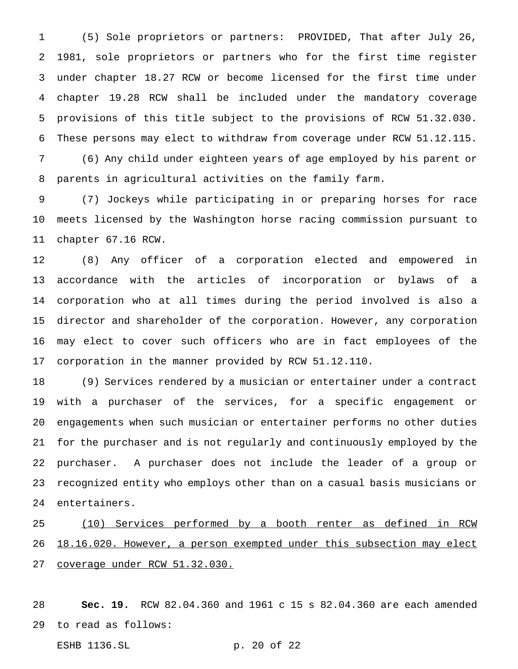(5) Sole proprietors or partners: PROVIDED, That after July 26, 1981, sole proprietors or partners who for the first time register under chapter 18.27 RCW or become licensed for the first time under chapter 19.28 RCW shall be included under the mandatory coverage provisions of this title subject to the provisions of RCW 51.32.030. These persons may elect to withdraw from coverage under RCW 51.12.115.

 (6) Any child under eighteen years of age employed by his parent or parents in agricultural activities on the family farm.

 (7) Jockeys while participating in or preparing horses for race meets licensed by the Washington horse racing commission pursuant to chapter 67.16 RCW.

 (8) Any officer of a corporation elected and empowered in accordance with the articles of incorporation or bylaws of a corporation who at all times during the period involved is also a director and shareholder of the corporation. However, any corporation may elect to cover such officers who are in fact employees of the corporation in the manner provided by RCW 51.12.110.

 (9) Services rendered by a musician or entertainer under a contract with a purchaser of the services, for a specific engagement or engagements when such musician or entertainer performs no other duties for the purchaser and is not regularly and continuously employed by the purchaser. A purchaser does not include the leader of a group or recognized entity who employs other than on a casual basis musicians or entertainers.

 (10) Services performed by a booth renter as defined in RCW 18.16.020. However, a person exempted under this subsection may elect coverage under RCW 51.32.030.

 **Sec. 19.** RCW 82.04.360 and 1961 c 15 s 82.04.360 are each amended to read as follows:

ESHB 1136.SL p. 20 of 22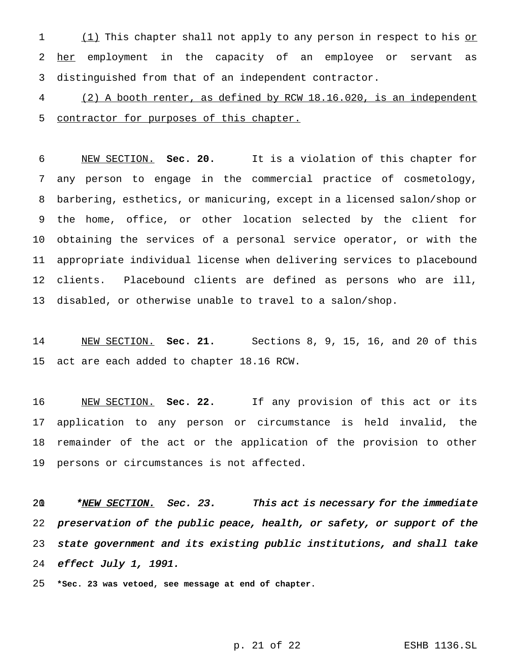1 (1) This chapter shall not apply to any person in respect to his or 2 her employment in the capacity of an employee or servant as distinguished from that of an independent contractor.

 (2) A booth renter, as defined by RCW 18.16.020, is an independent 5 contractor for purposes of this chapter.

 NEW SECTION. **Sec. 20.** It is a violation of this chapter for any person to engage in the commercial practice of cosmetology, barbering, esthetics, or manicuring, except in a licensed salon/shop or the home, office, or other location selected by the client for obtaining the services of a personal service operator, or with the appropriate individual license when delivering services to placebound clients. Placebound clients are defined as persons who are ill, disabled, or otherwise unable to travel to a salon/shop.

 NEW SECTION. **Sec. 21.** Sections 8, 9, 15, 16, and 20 of this act are each added to chapter 18.16 RCW.

 NEW SECTION. **Sec. 22.** If any provision of this act or its application to any person or circumstance is held invalid, the remainder of the act or the application of the provision to other persons or circumstances is not affected.

20 \*NEW SECTION. Sec. 23. This act is necessary for the immediate preservation of the public peace, health, or safety, or support of the state government and its existing public institutions, and shall take effect July 1, 1991.

**\*Sec. 23 was vetoed, see message at end of chapter.**